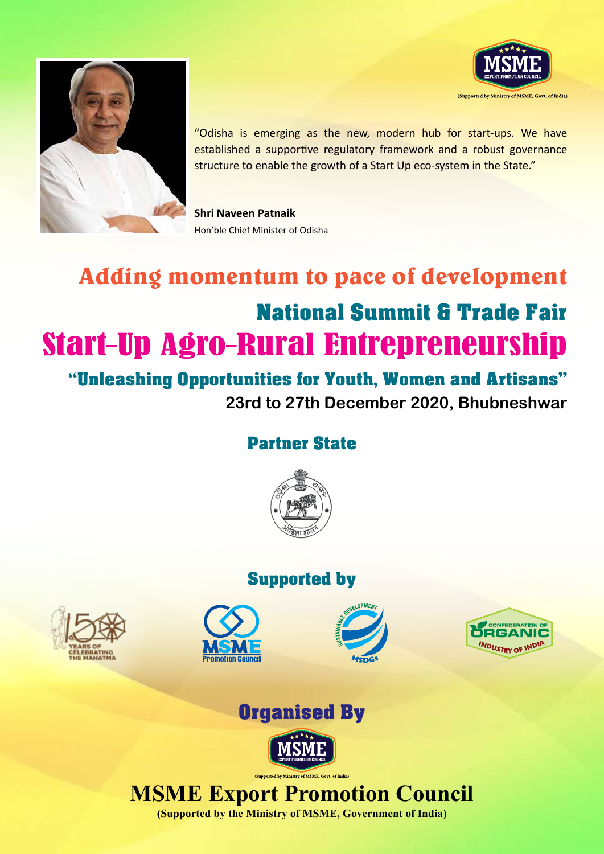



"Odisha is emerging as the new, modern hub for start-ups. We have established a supportive regulatory framework and a robust governance structure to enable the growth of a Start Up eco-system in the State."

**Shri Naveen Patnaik** Hon'ble Chief Minister of Odisha

# Adding momentum to pace of development National Summit & Trade Fair Start–Up Agro–Rural Entrepreneurship

"Unleashing Opportunities for Youth, Women and Artisans" **23rd to 27th December 2020, Bhubneshwar**

### Partner State



### Supported by













## **MSME Export Promotion Council**

**(Supported by the Ministry of MSME, Government of India)**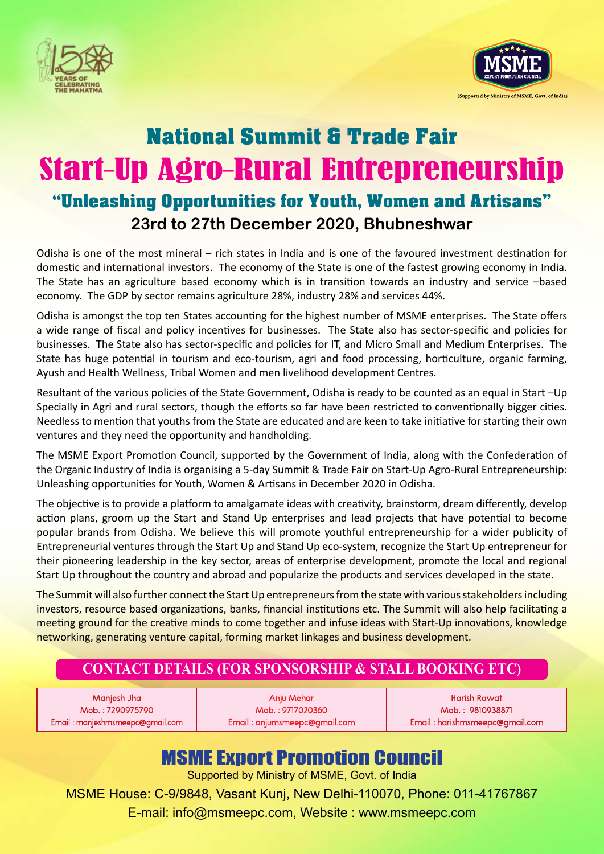



# National Summit & Trade Fair Start–Up Agro–Rural Entrepreneurship "Unleashing Opportunities for Youth, Women and Artisans" **23rd to 27th December 2020, Bhubneshwar**

Odisha is one of the most mineral – rich states in India and is one of the favoured investment destination for domestic and international investors. The economy of the State is one of the fastest growing economy in India. The State has an agriculture based economy which is in transition towards an industry and service –based economy. The GDP by sector remains agriculture 28%, industry 28% and services 44%.

Odisha is amongst the top ten States accounting for the highest number of MSME enterprises. The State offers a wide range of fiscal and policy incentives for businesses. The State also has sector-specific and policies for businesses. The State also has sector-specific and policies for IT, and Micro Small and Medium Enterprises. The State has huge potential in tourism and eco-tourism, agri and food processing, horticulture, organic farming, Ayush and Health Wellness, Tribal Women and men livelihood development Centres.

Resultant of the various policies of the State Government, Odisha is ready to be counted as an equal in Start –Up Specially in Agri and rural sectors, though the efforts so far have been restricted to conventionally bigger cities. Needless to mention that youths from the State are educated and are keen to take initiative for starting their own ventures and they need the opportunity and handholding.

The MSME Export Promotion Council, supported by the Government of India, along with the Confederation of the Organic Industry of India is organising a 5-day Summit & Trade Fair on Start-Up Agro-Rural Entrepreneurship: Unleashing opportunities for Youth, Women & Artisans in December 2020 in Odisha.

The objective is to provide a platform to amalgamate ideas with creativity, brainstorm, dream differently, develop action plans, groom up the Start and Stand Up enterprises and lead projects that have potential to become popular brands from Odisha. We believe this will promote youthful entrepreneurship for a wider publicity of Entrepreneurial ventures through the Start Up and Stand Up eco-system, recognize the Start Up entrepreneur for their pioneering leadership in the key sector, areas of enterprise development, promote the local and regional Start Up throughout the country and abroad and popularize the products and services developed in the state.

The Summit will also further connect the Start Up entrepreneurs from the state with various stakeholders including investors, resource based organizations, banks, financial institutions etc. The Summit will also help facilitating a meeting ground for the creative minds to come together and infuse ideas with Start-Up innovations, knowledge networking, generating venture capital, forming market linkages and business development.

#### **CONTACT DETAILS (FOR SPONSORSHIP & STALL BOOKING ETC)**

Manjesh Jha Mob. : 7290975790 Email : manjeshmsmeepc@gmail.com

Anju Mehar Mob. : 9717020360 Email : anjumsmeepc@gmail.com

Harish Rawat Mob. : 9810938871 Email : harishmsmeepc@gmail.com

### MSME Export Promotion Council

Supported by Ministry of MSME, Govt. of India

MSME House: C-9/9848, Vasant Kunj, New Delhi-110070, Phone: 011-41767867 E-mail: info@msmeepc.com, Website : www.msmeepc.com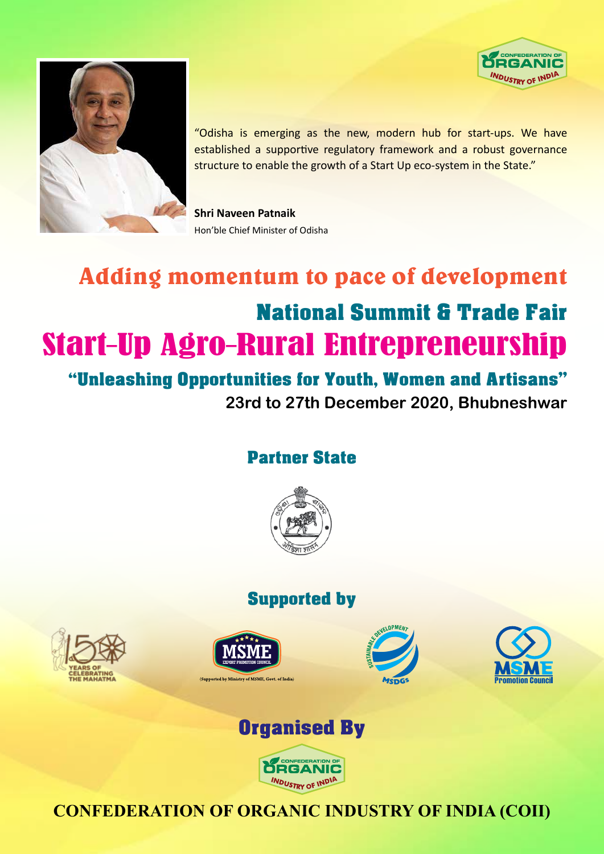



"Odisha is emerging as the new, modern hub for start-ups. We have established a supportive regulatory framework and a robust governance structure to enable the growth of a Start Up eco-system in the State."

**Shri Naveen Patnaik** Hon'ble Chief Minister of Odisha

# Adding momentum to pace of development National Summit & Trade Fair Start–Up Agro–Rural Entrepreneurship

"Unleashing Opportunities for Youth, Women and Artisans" **23rd to 27th December 2020, Bhubneshwar**

### Partner State



### Supported by







(Supported by Ministry of MSME, Goyt, of India)

**ÖRGANIC INDUSTRY OF INDIA** 

### **CONFEDERATION OF ORGANIC INDUSTRY OF INDIA (COII)**